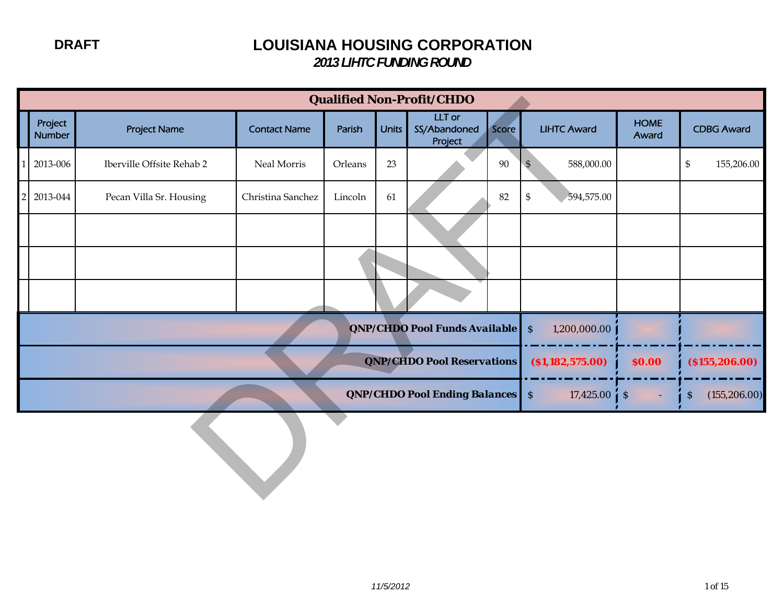|                          |                           |                     |         |              | <b>Qualified Non-Profit/CHDO</b>         |        |                                           |                      |                                            |
|--------------------------|---------------------------|---------------------|---------|--------------|------------------------------------------|--------|-------------------------------------------|----------------------|--------------------------------------------|
| Project<br><b>Number</b> | <b>Project Name</b>       | <b>Contact Name</b> | Parish  | <b>Units</b> | <b>LLT</b> or<br>SS/Abandoned<br>Project | Score  | <b>LIHTC Award</b>                        | <b>HOME</b><br>Award | <b>CDBG Award</b>                          |
| 2013-006                 | Iberville Offsite Rehab 2 | Neal Morris         | Orleans | 23           |                                          | $90\,$ | 588,000.00<br>$\mathfrak{S}$              |                      | $\boldsymbol{\mathsf{S}}$<br>155,206.00    |
| 2013-044                 | Pecan Villa Sr. Housing   | Christina Sanchez   | Lincoln | 61           |                                          | 82     | $\mathbb{S}$<br>594,575.00                |                      |                                            |
|                          |                           |                     |         |              |                                          |        |                                           |                      |                                            |
|                          |                           |                     |         |              |                                          |        |                                           |                      |                                            |
|                          |                           |                     |         |              |                                          |        |                                           |                      |                                            |
|                          |                           |                     |         |              | QNP/CHDO Pool Funds Available            |        | $\boldsymbol{\mathsf{S}}$<br>1,200,000.00 |                      |                                            |
|                          |                           |                     |         |              | QNP/CHDO Pool Reservations               |        | ( \$1,182,575.00)                         | \$0.00               | ( \$155, 206.00)                           |
|                          |                           |                     |         |              | <b>QNP/CHDO Pool Ending Balances</b> S   |        | 17,425.00                                 | $\mathcal{S}$<br>Ξ   | (155, 206.00)<br>$\boldsymbol{\mathsf{S}}$ |
|                          |                           |                     |         |              |                                          |        |                                           |                      |                                            |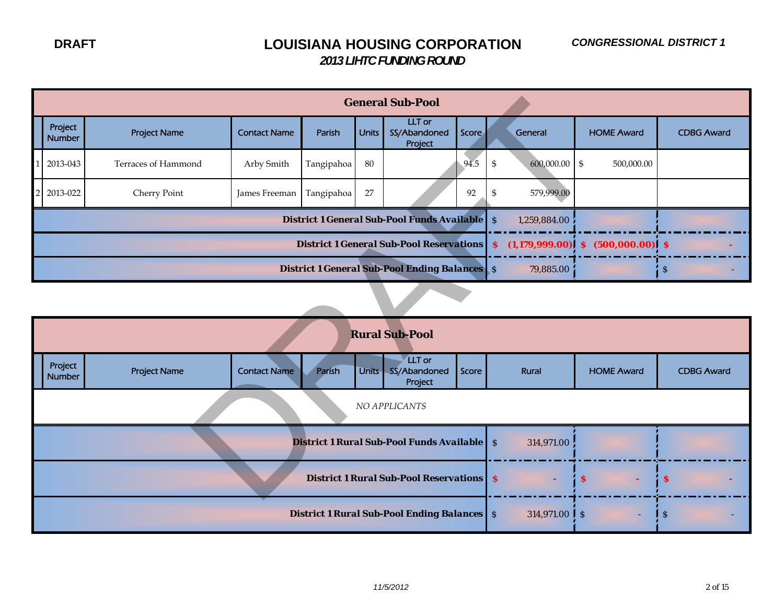|                          |                     |                     |            |              | <b>General Sub-Pool</b>                               |       |                  |              |                                       |                   |
|--------------------------|---------------------|---------------------|------------|--------------|-------------------------------------------------------|-------|------------------|--------------|---------------------------------------|-------------------|
| Project<br><b>Number</b> | <b>Project Name</b> | <b>Contact Name</b> | Parish     | <b>Units</b> | <b>LLT</b> or<br>SS/Abandoned<br>Project              | Score |                  | General      | <b>HOME Award</b>                     | <b>CDBG Award</b> |
| 2013-043                 | Terraces of Hammond | Arby Smith          | Tangipahoa | 80           |                                                       | 94.5  | $\mathfrak{S}$   | 600,000.00   | $\mathfrak{S}$<br>500,000.00          |                   |
| 2013-022                 | Cherry Point        | James Freeman       | Tangipahoa | 27           |                                                       | 92    | \$               | 579,999.00   |                                       |                   |
|                          |                     |                     |            |              | <b>District 1 General Sub-Pool Funds Available</b> \$ |       |                  | 1,259,884.00 |                                       |                   |
|                          |                     |                     |            |              | <b>District 1 General Sub-Pool Reservations</b>       |       | $\boldsymbol{s}$ |              | $(1,179,999.00)$ \$ $(500,000.00)$ \$ |                   |
|                          |                     |                     |            |              | <b>District 1 General Sub-Pool Ending Balances</b> \$ |       |                  | 79,885.00    |                                       | $\mathsf{S}$      |
|                          |                     |                     |            |              |                                                       |       |                  |              |                                       |                   |
|                          |                     |                     |            |              | <b>Rural Sub-Pool</b>                                 |       |                  |              |                                       |                   |
| Project<br><b>Number</b> | <b>Project Name</b> | <b>Contact Name</b> | Parish     | Units-       | <b>LLT</b> or<br>SS/Abandoned<br>Project              | Score |                  | <b>Rural</b> | <b>HOME Award</b>                     | <b>CDBG Award</b> |
|                          |                     |                     |            |              | NO APPLICANTS                                         |       |                  |              |                                       |                   |
|                          |                     |                     |            |              | <b>District 1 Rural Sub-Pool Funds Available</b> S    |       |                  | 314,971.00   |                                       |                   |
|                          |                     |                     |            |              | <b>District 1 Rural Sub-Pool Reservations</b> \$      |       |                  |              | $\mathbf{s}$                          | \$                |

|                   |                     |                     |        |       | <b>Rural Sub-Pool</b>                              |       |                          |                   |                   |
|-------------------|---------------------|---------------------|--------|-------|----------------------------------------------------|-------|--------------------------|-------------------|-------------------|
| Project<br>Number | <b>Project Name</b> | <b>Contact Name</b> | Parish | Units | LLT or<br>SS/Abandoned<br>Project                  | Score | Rural                    | <b>HOME Award</b> | <b>CDBG Award</b> |
|                   |                     |                     |        |       | NO APPLICANTS                                      |       |                          |                   |                   |
|                   |                     |                     |        |       | <b>District 1 Rural Sub-Pool Funds Available</b> S |       | 314,971.00               |                   |                   |
|                   |                     |                     |        |       | <b>District 1 Rural Sub-Pool Reservations S</b>    |       |                          | $\mathbf{s}$      | l s               |
|                   |                     |                     |        |       | <b>District 1 Rural Sub-Pool Ending Balances</b> S |       | 314,971.00 $\frac{1}{s}$ | ٠                 | -S                |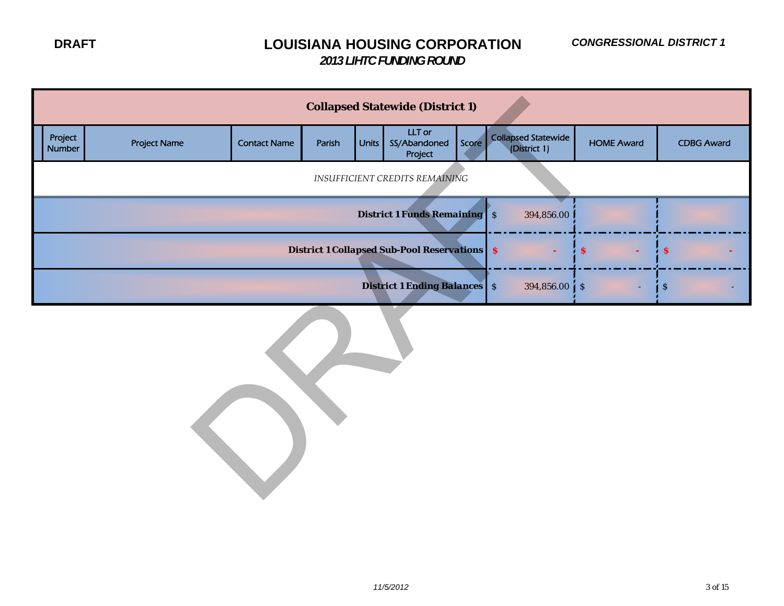|                                                                                                |                     |                     |        |       | <b>Collapsed Statewide (District 1)</b> |       |                                            |                   |                   |  |  |  |
|------------------------------------------------------------------------------------------------|---------------------|---------------------|--------|-------|-----------------------------------------|-------|--------------------------------------------|-------------------|-------------------|--|--|--|
| Project<br>Number                                                                              | <b>Project Name</b> | <b>Contact Name</b> | Parish | Units | LLT or<br>SS/Abandoned<br>Project       | Score | <b>Collapsed Statewide</b><br>(District 1) | <b>HOME Award</b> | <b>CDBG Award</b> |  |  |  |
|                                                                                                |                     |                     |        |       | <b>INSUFFICIENT CREDITS REMAINING</b>   |       |                                            |                   |                   |  |  |  |
| <b>District 1 Funds Remaining</b> S<br>394,856.00                                              |                     |                     |        |       |                                         |       |                                            |                   |                   |  |  |  |
| <b>District 1 Collapsed Sub-Pool Reservations S</b><br>$\pmb{\mathcal{S}}$<br>$\boldsymbol{s}$ |                     |                     |        |       |                                         |       |                                            |                   |                   |  |  |  |
| <b>District 1 Ending Balances</b> S<br>$394,856.00 \, \text{S}$<br>$\boldsymbol{\mathsf{S}}$   |                     |                     |        |       |                                         |       |                                            |                   |                   |  |  |  |
|                                                                                                |                     |                     |        |       |                                         |       |                                            |                   |                   |  |  |  |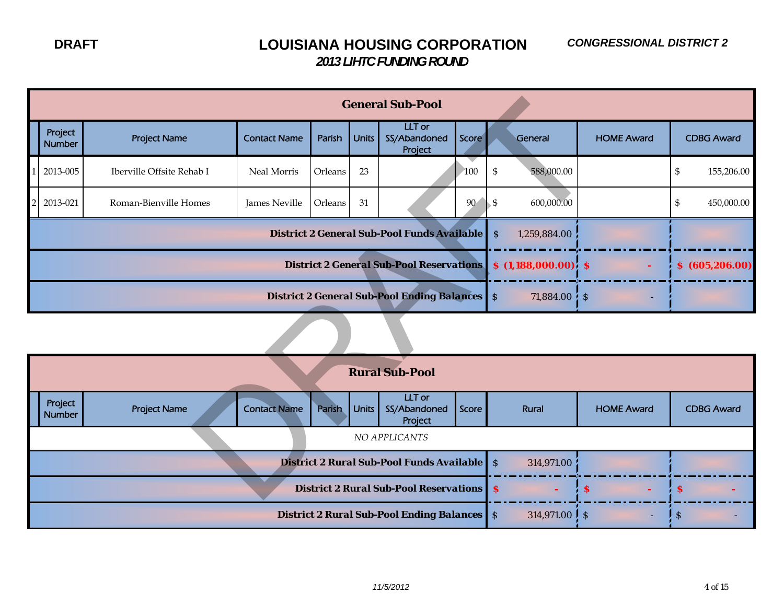|                                                                                                 | <b>General Sub-Pool</b> |                           |                     |               |              |                                                 |       |                             |                   |                   |  |  |
|-------------------------------------------------------------------------------------------------|-------------------------|---------------------------|---------------------|---------------|--------------|-------------------------------------------------|-------|-----------------------------|-------------------|-------------------|--|--|
|                                                                                                 | Project<br>Number       | <b>Project Name</b>       | <b>Contact Name</b> | Parish        | <b>Units</b> | <b>LLT</b> or<br>SS/Abandoned<br>Project        | Score | General                     | <b>HOME Award</b> | <b>CDBG Award</b> |  |  |
|                                                                                                 | 2013-005                | Iberville Offsite Rehab I | Neal Morris         | Orleans       | 23           |                                                 | 100   | 588,000.00<br>\$            |                   | \$<br>155,206.00  |  |  |
|                                                                                                 | 2013-021                | Roman-Bienville Homes     | James Neville       | Orleans       | 31           |                                                 | 90    | 600,000.00<br>\$            |                   | \$<br>450,000.00  |  |  |
| <b>District 2 General Sub-Pool Funds Available</b><br>$\boldsymbol{\mathsf{S}}$<br>1,259,884.00 |                         |                           |                     |               |              |                                                 |       |                             |                   |                   |  |  |
| <b>District 2 General Sub-Pool Reservations</b><br>$$(1,188,000.00)$ $$$<br>\$ (605, 206.00)    |                         |                           |                     |               |              |                                                 |       |                             |                   |                   |  |  |
| <b>District 2 General Sub-Pool Ending Balances</b> S<br>$71,884.00\,$ \$                        |                         |                           |                     |               |              |                                                 |       |                             |                   |                   |  |  |
|                                                                                                 |                         |                           |                     |               |              |                                                 |       |                             |                   |                   |  |  |
|                                                                                                 |                         |                           |                     |               |              | <b>Rural Sub-Pool</b>                           |       |                             |                   |                   |  |  |
|                                                                                                 | Project<br>Number       | <b>Project Name</b>       | <b>Contact Name</b> | <b>Parish</b> | <b>Units</b> | <b>LLT</b> or<br>SS/Abandoned<br>Project        | Score | Rural                       | <b>HOME Award</b> | <b>CDBG Award</b> |  |  |
| NO APPLICANTS                                                                                   |                         |                           |                     |               |              |                                                 |       |                             |                   |                   |  |  |
|                                                                                                 |                         |                           |                     |               |              | District 2 Rural Sub-Pool Funds Available       |       | $\mathcal{S}$<br>314,971.00 |                   |                   |  |  |
|                                                                                                 |                         |                           |                     |               |              | <b>District 2 Rural Sub-Pool Reservations S</b> |       |                             | <sup>S</sup>      | S                 |  |  |

|                          |                                                 |                     |        |              | <b>Rural Sub-Pool</b>                              |       |  |                             |                   |                   |
|--------------------------|-------------------------------------------------|---------------------|--------|--------------|----------------------------------------------------|-------|--|-----------------------------|-------------------|-------------------|
| Project<br><b>Number</b> | <b>Project Name</b>                             | <b>Contact Name</b> | Parish | <b>Units</b> | LLT or<br>SS/Abandoned<br>Project                  | Score |  | Rural                       | <b>HOME Award</b> | <b>CDBG Award</b> |
|                          |                                                 |                     |        |              | NO APPLICANTS                                      |       |  |                             |                   |                   |
|                          |                                                 |                     |        |              | <b>District 2 Rural Sub-Pool Funds Available</b> S |       |  | 314,971.00                  |                   |                   |
|                          | <b>District 2 Rural Sub-Pool Reservations S</b> |                     |        |              |                                                    |       |  |                             |                   |                   |
|                          |                                                 |                     |        |              | <b>District 2 Rural Sub-Pool Ending Balances</b> S |       |  | 314,971.00 $\frac{1}{5}$ \$ |                   | -8                |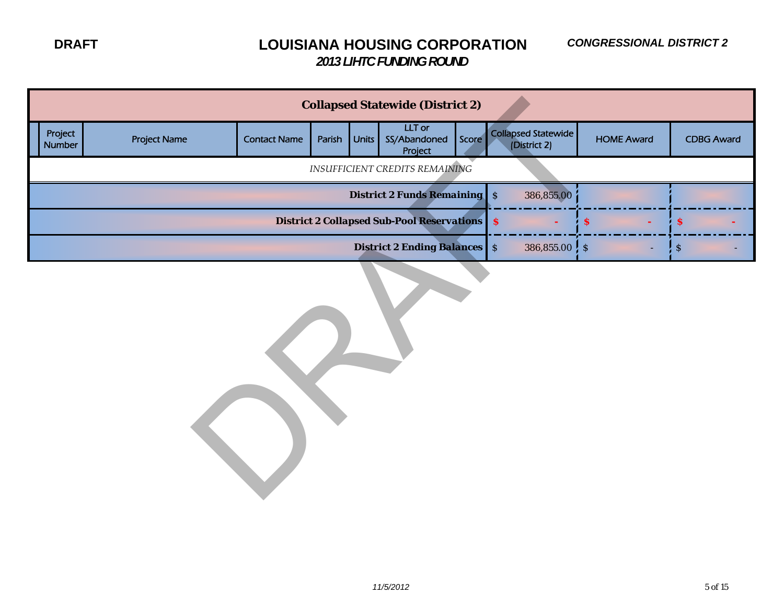|                   |                     |                     |        |       | <b>Collapsed Statewide (District 2)</b>             |       |                                     |                   |                           |
|-------------------|---------------------|---------------------|--------|-------|-----------------------------------------------------|-------|-------------------------------------|-------------------|---------------------------|
| Project<br>Number | <b>Project Name</b> | <b>Contact Name</b> | Parish | Units | LLT or<br>SS/Abandoned<br>Project                   | Score | Collapsed Statewide<br>(District 2) | <b>HOME Award</b> | <b>CDBG Award</b>         |
|                   |                     |                     |        |       | <b>INSUFFICIENT CREDITS REMAINING</b>               |       |                                     |                   |                           |
|                   |                     |                     |        |       | <b>District 2 Funds Remaining</b> S                 |       | 386,855.00                          |                   |                           |
|                   |                     |                     |        |       | <b>District 2 Collapsed Sub-Pool Reservations S</b> |       |                                     | $\mathbf{s}$      | \$.                       |
|                   |                     |                     |        |       | <b>District 2 Ending Balances</b> S                 |       | $386,855.00$ $\frac{1}{5}$ \$       |                   | $\boldsymbol{\mathsf{S}}$ |
|                   |                     |                     |        |       |                                                     |       |                                     |                   |                           |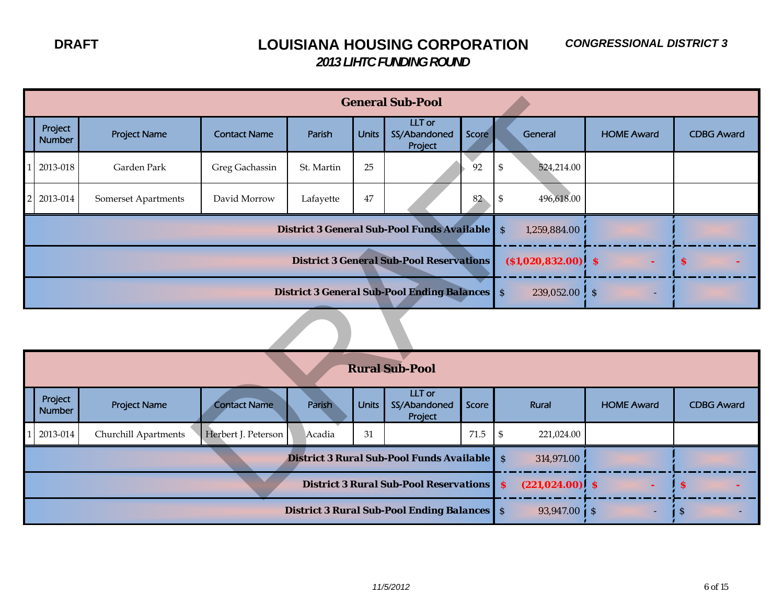|                                                                                               |                                                                                       |                     |            |              | <b>General Sub-Pool</b>                            |              |                                         |                   |                   |  |  |  |
|-----------------------------------------------------------------------------------------------|---------------------------------------------------------------------------------------|---------------------|------------|--------------|----------------------------------------------------|--------------|-----------------------------------------|-------------------|-------------------|--|--|--|
| Project<br><b>Number</b>                                                                      | <b>Project Name</b>                                                                   | <b>Contact Name</b> | Parish     | <b>Units</b> | <b>LLT</b> or<br>SS/Abandoned<br>Project           | Score        | General                                 | <b>HOME Award</b> | <b>CDBG Award</b> |  |  |  |
| 2013-018                                                                                      | Garden Park                                                                           | Greg Gachassin      | St. Martin | 25           |                                                    | 92           | $\boldsymbol{\mathsf{S}}$<br>524,214.00 |                   |                   |  |  |  |
| 2013-014                                                                                      | Somerset Apartments                                                                   | David Morrow        | Lafayette  | $47\,$       |                                                    | 82           | 496,618.00<br>\$                        |                   |                   |  |  |  |
|                                                                                               |                                                                                       |                     |            |              | <b>District 3 General Sub-Pool Funds Available</b> |              | $\mathcal{S}$<br>1,259,884.00           |                   |                   |  |  |  |
| <b>District 3 General Sub-Pool Reservations</b><br>$($ \$1,020,832.00) \$<br>$\boldsymbol{s}$ |                                                                                       |                     |            |              |                                                    |              |                                         |                   |                   |  |  |  |
|                                                                                               | <b>District 3 General Sub-Pool Ending Balances</b> S<br>$239,052.00$ $\frac{1}{2}$ \$ |                     |            |              |                                                    |              |                                         |                   |                   |  |  |  |
|                                                                                               |                                                                                       |                     |            |              |                                                    |              |                                         |                   |                   |  |  |  |
|                                                                                               |                                                                                       |                     |            |              | <b>Rural Sub-Pool</b>                              |              |                                         |                   |                   |  |  |  |
| Project<br><b>Number</b>                                                                      | <b>Project Name</b>                                                                   | <b>Contact Name</b> | Parish     | <b>Units</b> | <b>LLT</b> or<br>SS/Abandoned<br>Project           | <b>Score</b> | Rural                                   | <b>HOME Award</b> | <b>CDBG Award</b> |  |  |  |
| 2013-014                                                                                      | Churchill Apartments                                                                  | Herbert J. Peterson | Acadia     | 31           |                                                    | 71.5         | $\mathfrak s$<br>221,024.00             |                   |                   |  |  |  |
|                                                                                               |                                                                                       |                     |            |              | District 3 Rural Sub-Pool Funds Available          |              | $\mathcal{S}$<br>314,971.00             |                   |                   |  |  |  |
|                                                                                               |                                                                                       |                     |            |              | <b>District 3 Rural Sub-Pool Reservations S</b>    |              | $(221, 024.00)$ \$                      |                   | s                 |  |  |  |

|                          |                      |                     |        |              | <b>Rural Sub-Pool</b>                              |       |     |                          |                   |                   |
|--------------------------|----------------------|---------------------|--------|--------------|----------------------------------------------------|-------|-----|--------------------------|-------------------|-------------------|
| Project<br><b>Number</b> | <b>Project Name</b>  | <b>Contact Name</b> | Parish | <b>Units</b> | LLT or<br>SS/Abandoned<br>Project                  | Score |     | Rural                    | <b>HOME Award</b> | <b>CDBG Award</b> |
| 2013-014                 | Churchill Apartments | Herbert J. Peterson | Acadia | 31           |                                                    | 71.5  | - S | 221,024.00               |                   |                   |
|                          |                      |                     |        |              | <b>District 3 Rural Sub-Pool Funds Available</b> S |       |     | 314,971.00               |                   |                   |
|                          |                      |                     |        |              | <b>District 3 Rural Sub-Pool Reservations S</b>    |       |     | $(221, 024.00)$ \$       |                   | -S                |
|                          |                      |                     |        |              | <b>District 3 Rural Sub-Pool Ending Balances</b> S |       |     | $93,947.00 \downarrow S$ | н.                | ∣S                |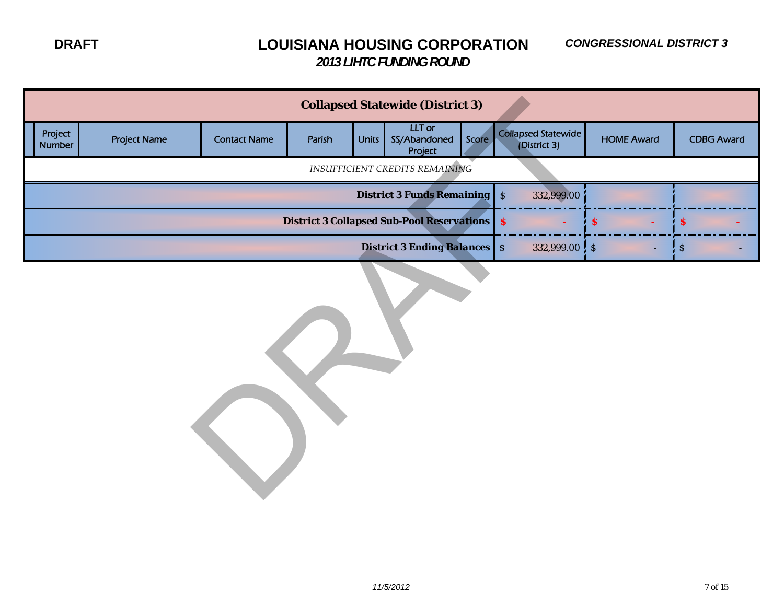|                   |                     |                     |        |              | <b>Collapsed Statewide (District 3)</b>             |       |                                     |                   |                           |
|-------------------|---------------------|---------------------|--------|--------------|-----------------------------------------------------|-------|-------------------------------------|-------------------|---------------------------|
| Project<br>Number | <b>Project Name</b> | <b>Contact Name</b> | Parish | <b>Units</b> | <b>LLT</b> or<br>SS/Abandoned<br>Project            | Score | Collapsed Statewide<br>(District 3) | <b>HOME Award</b> | <b>CDBG Award</b>         |
|                   |                     |                     |        |              | INSUFFICIENT CREDITS REMAINING                      |       |                                     |                   |                           |
|                   |                     |                     |        |              | <b>District 3 Funds Remaining</b> S                 |       | 332,999.00                          |                   |                           |
|                   |                     |                     |        |              | <b>District 3 Collapsed Sub-Pool Reservations S</b> |       |                                     | $\mathbf{s}$      | $\pmb{\mathcal{S}}$       |
|                   |                     |                     |        |              | <b>District 3 Ending Balances</b> S                 |       | $332,999.00$ , $\frac{1}{5}$        |                   | $\boldsymbol{\mathsf{S}}$ |
|                   |                     |                     |        |              |                                                     |       |                                     |                   |                           |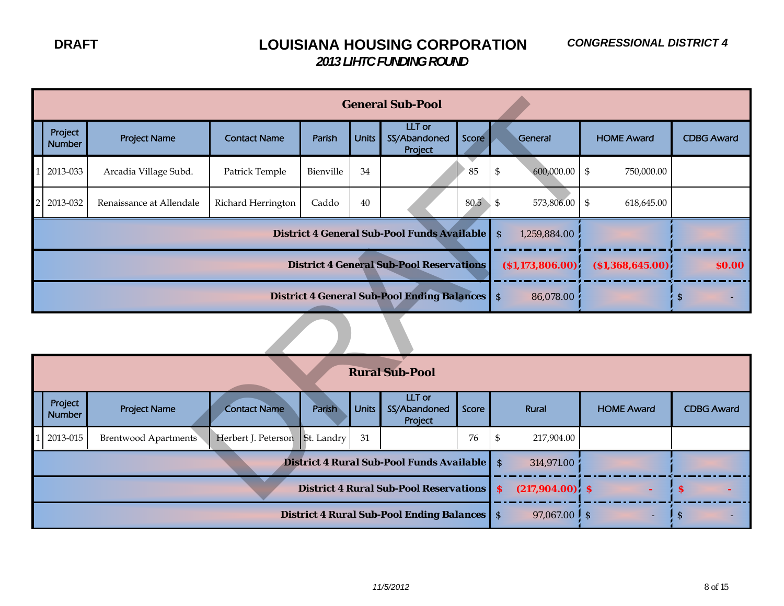|                                                                                                                                                                                                                 |                                                                         |                                |           |              | <b>General Sub-Pool</b>                       |       |                                   |                                                             |                   |  |  |  |  |
|-----------------------------------------------------------------------------------------------------------------------------------------------------------------------------------------------------------------|-------------------------------------------------------------------------|--------------------------------|-----------|--------------|-----------------------------------------------|-------|-----------------------------------|-------------------------------------------------------------|-------------------|--|--|--|--|
| Project<br><b>Number</b>                                                                                                                                                                                        | <b>Project Name</b>                                                     | <b>Contact Name</b>            | Parish    | <b>Units</b> | LLT or<br>SS/Abandoned<br>Project             | Score | General                           | <b>HOME Award</b>                                           | <b>CDBG Award</b> |  |  |  |  |
| 2013-033                                                                                                                                                                                                        | Arcadia Village Subd.                                                   | Patrick Temple                 | Bienville | 34           |                                               | 85    | 600,000.00<br>\$                  | $\, \, \raisebox{12pt}{$\scriptstyle \circ$}$<br>750,000.00 |                   |  |  |  |  |
| 2013-032                                                                                                                                                                                                        | Renaissance at Allendale                                                | Richard Herrington             | Caddo     | 40           |                                               | 80.5  | \$<br>573,806.00                  | \$<br>618,645.00                                            |                   |  |  |  |  |
|                                                                                                                                                                                                                 |                                                                         |                                |           |              | District 4 General Sub-Pool Funds Available   |       | 1,259,884.00<br><sub>S</sub>      |                                                             |                   |  |  |  |  |
| <b>District 4 General Sub-Pool Reservations</b><br>$($ \$1,173,806.00 $)$<br>( \$1,368,645.00)<br>\$0.00                                                                                                        |                                                                         |                                |           |              |                                               |       |                                   |                                                             |                   |  |  |  |  |
|                                                                                                                                                                                                                 | <b>District 4 General Sub-Pool Ending Balances</b> S<br>86,078.00<br>\$ |                                |           |              |                                               |       |                                   |                                                             |                   |  |  |  |  |
|                                                                                                                                                                                                                 |                                                                         |                                |           |              |                                               |       |                                   |                                                             |                   |  |  |  |  |
|                                                                                                                                                                                                                 |                                                                         |                                |           |              | <b>Rural Sub-Pool</b>                         |       |                                   |                                                             |                   |  |  |  |  |
| LLT or<br>Project<br><b>Project Name</b><br><b>Contact Name</b><br><b>Units</b><br>SS/Abandoned<br><b>HOME Award</b><br><b>Parish</b><br><b>Score</b><br>Rural<br><b>CDBG Award</b><br><b>Number</b><br>Project |                                                                         |                                |           |              |                                               |       |                                   |                                                             |                   |  |  |  |  |
| 2013-015                                                                                                                                                                                                        | <b>Brentwood Apartments</b>                                             | Herbert J. Peterson St. Landry |           | 31           |                                               | 76    | 217,904.00<br>\$                  |                                                             |                   |  |  |  |  |
|                                                                                                                                                                                                                 |                                                                         |                                |           |              | District 4 Rural Sub-Pool Funds Available     |       | <sub>S</sub><br>314,971.00        |                                                             |                   |  |  |  |  |
|                                                                                                                                                                                                                 |                                                                         |                                |           |              | <b>District 4 Rural Sub-Pool Reservations</b> |       | $(217,904.00)$ \$<br>$\mathbf{s}$ |                                                             | S                 |  |  |  |  |

|                          |                             |                                |        |              | <b>Rural Sub-Pool</b>                              |       |                            |                   |                   |
|--------------------------|-----------------------------|--------------------------------|--------|--------------|----------------------------------------------------|-------|----------------------------|-------------------|-------------------|
| Project<br><b>Number</b> | <b>Project Name</b>         | <b>Contact Name</b>            | Parish | <b>Units</b> | LLT or<br>SS/Abandoned<br>Project                  | Score | Rural                      | <b>HOME Award</b> | <b>CDBG Award</b> |
| 2013-015                 | <b>Brentwood Apartments</b> | Herbert J. Peterson St. Landry |        | 31           |                                                    | 76    | 217,904.00                 |                   |                   |
|                          |                             |                                |        |              | <b>District 4 Rural Sub-Pool Funds Available</b> S |       | 314,971.00                 |                   |                   |
|                          |                             |                                |        |              | <b>District 4 Rural Sub-Pool Reservations</b> S    |       | $(217,904.00)$ \$          |                   | - 3               |
|                          |                             |                                |        |              | <b>District 4 Rural Sub-Pool Ending Balances</b> S |       | 97,067.00 $\frac{1}{5}$ \$ | ۰                 | - 2               |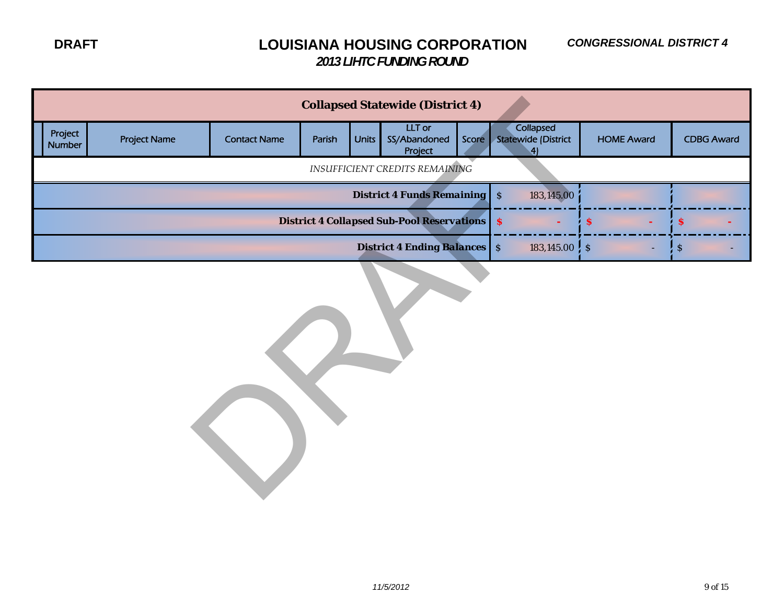|                   | <b>Collapsed Statewide (District 4)</b> |                                                        |                                                    |                  |                                     |  |                                              |                   |                           |  |  |  |
|-------------------|-----------------------------------------|--------------------------------------------------------|----------------------------------------------------|------------------|-------------------------------------|--|----------------------------------------------|-------------------|---------------------------|--|--|--|
| Project<br>Number | <b>Project Name</b>                     | <b>Contact Name</b>                                    | Parish                                             | <b>Units</b>     | LLT or<br>SS/Abandoned<br>Project   |  | Collapsed<br>Score Statewide (District<br>4) | <b>HOME Award</b> | <b>CDBG Award</b>         |  |  |  |
|                   |                                         |                                                        | <b>INSUFFICIENT CREDITS REMAINING</b>              |                  |                                     |  |                                              |                   |                           |  |  |  |
|                   |                                         |                                                        | <b>District 4 Funds Remaining</b> \$<br>183,145.00 |                  |                                     |  |                                              |                   |                           |  |  |  |
|                   |                                         | <b>District 4 Collapsed Sub-Pool Reservations   \$</b> |                                                    | $\boldsymbol{s}$ | \$                                  |  |                                              |                   |                           |  |  |  |
|                   |                                         |                                                        |                                                    |                  | <b>District 4 Ending Balances</b> S |  | $183,145.00;$ \$                             |                   | $\boldsymbol{\mathsf{S}}$ |  |  |  |
|                   |                                         |                                                        |                                                    |                  |                                     |  |                                              |                   |                           |  |  |  |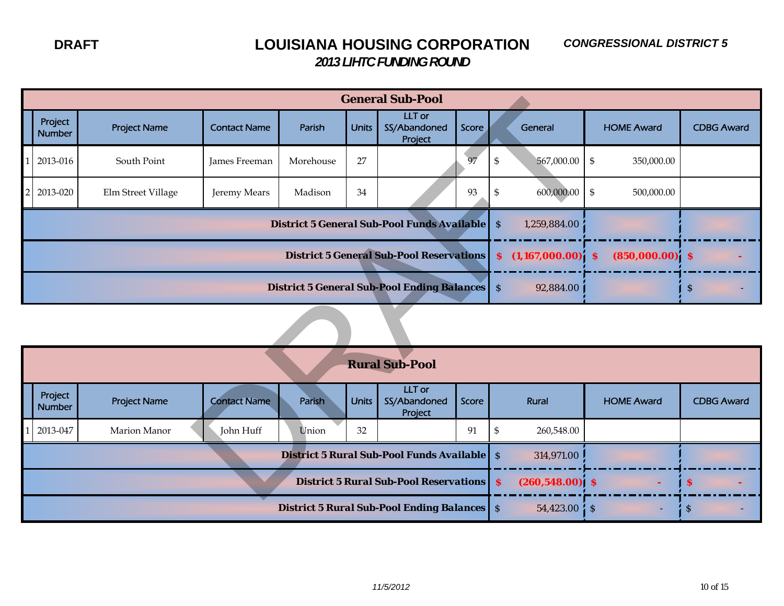| <b>General Sub-Pool</b>                                                                                                                               |                          |                     |                     |                                                      |               |                                   |                                   |                                                 |            |                                                            |                   |  |
|-------------------------------------------------------------------------------------------------------------------------------------------------------|--------------------------|---------------------|---------------------|------------------------------------------------------|---------------|-----------------------------------|-----------------------------------|-------------------------------------------------|------------|------------------------------------------------------------|-------------------|--|
|                                                                                                                                                       | Project<br><b>Number</b> | <b>Project Name</b> | <b>Contact Name</b> | Parish                                               | <b>Units</b>  | LLT or<br>SS/Abandoned<br>Project | Score                             |                                                 | General    | <b>HOME Award</b>                                          | <b>CDBG Award</b> |  |
|                                                                                                                                                       | 2013-016                 | South Point         | James Freeman       | Morehouse                                            | 27            |                                   | 97                                | $\, \, \raisebox{10pt}{\text{\circle*{1.5}}}\,$ | 567,000.00 | $\, \, \raisebox{12pt}{$\scriptstyle\circ$}$<br>350,000.00 |                   |  |
| 2                                                                                                                                                     | 2013-020                 | Elm Street Village  | Jeremy Mears        | Madison                                              | 34            |                                   | 93                                | $\, \, \raisebox{12pt}{$\scriptstyle\circ$}$    | 600,000.00 | $\, \, \raisebox{12pt}{$\scriptstyle\circ$}$<br>500,000.00 |                   |  |
|                                                                                                                                                       |                          |                     |                     | District 5 General Sub-Pool Funds Available          | $\mathcal{S}$ | 1,259,884.00                      |                                   |                                                 |            |                                                            |                   |  |
|                                                                                                                                                       |                          |                     |                     | <b>District 5 General Sub-Pool Reservations</b>      | $\mathbf{s}$  | $(1,167,000.00)^{\prime}$         | $(850,000.00)$ \$<br>$\mathbf{s}$ |                                                 |            |                                                            |                   |  |
|                                                                                                                                                       |                          |                     |                     | <b>District 5 General Sub-Pool Ending Balances</b> S |               | 92,884.00                         |                                   | $\mathbf{\hat{S}}$                              |            |                                                            |                   |  |
|                                                                                                                                                       |                          |                     |                     |                                                      |               |                                   |                                   |                                                 |            |                                                            |                   |  |
|                                                                                                                                                       |                          |                     |                     |                                                      |               | <b>Rural Sub-Pool</b>             |                                   |                                                 |            |                                                            |                   |  |
| <b>LLT</b> or<br>Project<br><b>Project Name</b><br><b>Contact Name</b><br>SS/Abandoned<br>Parish<br><b>Units</b><br>Score<br><b>Number</b><br>Project |                          |                     |                     |                                                      |               |                                   |                                   |                                                 | Rural      | <b>HOME Award</b>                                          | <b>CDBG Award</b> |  |
|                                                                                                                                                       | 2013-047                 | Marion Manor        | John Huff           | Union                                                | 32            |                                   | 91                                | \$                                              | 260,548.00 |                                                            |                   |  |
|                                                                                                                                                       |                          |                     |                     | <b>District 5 Rural Sub-Pool Funds Available</b>     | $\mathcal{S}$ | 314,971.00                        |                                   |                                                 |            |                                                            |                   |  |
|                                                                                                                                                       |                          |                     |                     | <b>District 5 Rural Sub-Pool Reservations S</b>      |               | $(260, 548.00)$ \$                |                                   | <b>S</b>                                        |            |                                                            |                   |  |
|                                                                                                                                                       |                          |                     |                     |                                                      |               |                                   |                                   |                                                 |            |                                                            |                   |  |

| <b>Rural Sub-Pool</b>    |                     |                     |                                                                                |              |                                   |       |            |                   |                   |  |  |  |
|--------------------------|---------------------|---------------------|--------------------------------------------------------------------------------|--------------|-----------------------------------|-------|------------|-------------------|-------------------|--|--|--|
| Project<br><b>Number</b> | <b>Project Name</b> | <b>Contact Name</b> | Parish                                                                         | <b>Units</b> | LLT or<br>SS/Abandoned<br>Project | Score | Rural      | <b>HOME Award</b> | <b>CDBG Award</b> |  |  |  |
| 2013-047                 | Marion Manor        | John Huff           | Union                                                                          | 32           |                                   | 91    | 260,548.00 |                   |                   |  |  |  |
|                          |                     |                     | <b>District 5 Rural Sub-Pool Funds Available</b> S                             | 314,971.00   |                                   |       |            |                   |                   |  |  |  |
|                          |                     |                     | <b>District 5 Rural Sub-Pool Reservations S</b><br>$(260, 548.00)$ \$          |              | 'S                                |       |            |                   |                   |  |  |  |
|                          |                     |                     | <b>District 5 Rural Sub-Pool Ending Balances</b> S<br>$54,423.00\;$ $\sqrt{5}$ |              | -S                                |       |            |                   |                   |  |  |  |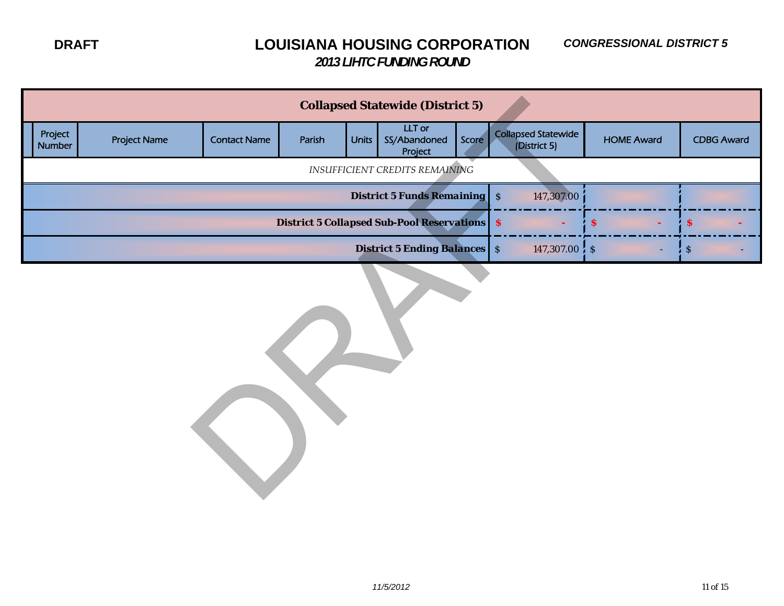|                   |                     |                     |        |              | <b>Collapsed Statewide (District 5)</b>                |       |                                            |                   |             |                   |
|-------------------|---------------------|---------------------|--------|--------------|--------------------------------------------------------|-------|--------------------------------------------|-------------------|-------------|-------------------|
| Project<br>Number | <b>Project Name</b> | <b>Contact Name</b> | Parish | <b>Units</b> | LLT or<br>SS/Abandoned<br>Project                      | Score | <b>Collapsed Statewide</b><br>(District 5) | <b>HOME Award</b> |             | <b>CDBG Award</b> |
|                   |                     |                     |        |              | INSUFFICIENT CREDITS REMAINING                         |       |                                            |                   |             |                   |
|                   |                     |                     |        |              | <b>District 5 Funds Remaining</b> S                    |       | 147,307.00                                 |                   |             |                   |
|                   |                     |                     |        |              | <b>District 5 Collapsed Sub-Pool Reservations   \$</b> |       |                                            | \$.               | <b>S</b>    |                   |
|                   |                     |                     |        |              | <b>District 5 Ending Balances</b> S                    |       | 147,307.00 $\frac{1}{2}$ \$                |                   | $\mathsf S$ |                   |
|                   |                     |                     |        |              |                                                        |       |                                            |                   |             |                   |

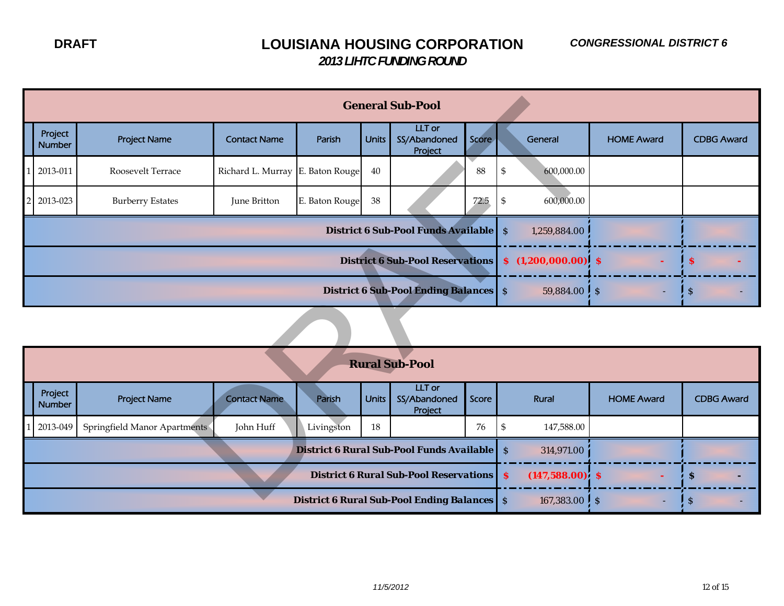|                                           |                                                                             | <b>General Sub-Pool</b>      |                     |                                                               |              |                                               |       |                     |                   |                   |                   |  |  |
|-------------------------------------------|-----------------------------------------------------------------------------|------------------------------|---------------------|---------------------------------------------------------------|--------------|-----------------------------------------------|-------|---------------------|-------------------|-------------------|-------------------|--|--|
|                                           | Project<br><b>Number</b>                                                    | <b>Project Name</b>          | <b>Contact Name</b> | Parish                                                        | <b>Units</b> | <b>LLT</b> or<br>SS/Abandoned<br>Project      | Score |                     | General           | <b>HOME Award</b> | <b>CDBG Award</b> |  |  |
|                                           | 2013-011                                                                    | Roosevelt Terrace            | Richard L. Murray   | E. Baton Rouge                                                | $40\,$       |                                               | 88    | $\mathfrak{S}$      | 600,000.00        |                   |                   |  |  |
|                                           | 2013-023                                                                    | <b>Burberry Estates</b>      | June Britton        | E. Baton Rouge                                                | $38\,$       |                                               | 72.5  | -\$                 | 600,000.00        |                   |                   |  |  |
|                                           | <b>District 6 Sub-Pool Funds Available</b><br>$\mathcal{S}$<br>1,259,884.00 |                              |                     |                                                               |              |                                               |       |                     |                   |                   |                   |  |  |
|                                           | <b>District 6 Sub-Pool Reservations</b><br>S<br>$(1,200,000.00)$ \$<br>S    |                              |                     |                                                               |              |                                               |       |                     |                   |                   |                   |  |  |
|                                           |                                                                             |                              |                     |                                                               |              | <b>District 6 Sub-Pool Ending Balances</b> S  |       |                     | $59,884.00$ \$    |                   | $\mathbf S$       |  |  |
|                                           |                                                                             |                              |                     |                                                               |              |                                               |       |                     |                   |                   |                   |  |  |
|                                           |                                                                             |                              |                     |                                                               |              | <b>Rural Sub-Pool</b>                         |       |                     |                   |                   |                   |  |  |
|                                           | Project<br><b>Number</b>                                                    | <b>Project Name</b>          | <b>Contact Name</b> | Parish                                                        | <b>Units</b> | <b>LLT</b> or<br>SS/Abandoned<br>Project      | Score |                     | Rural             | <b>HOME Award</b> | <b>CDBG Award</b> |  |  |
|                                           | 2013-049                                                                    | Springfield Manor Apartments | John Huff           | Livingston                                                    | 18           |                                               | 76    | $\mathfrak{S}$      | 147,588.00        |                   |                   |  |  |
| District 6 Rural Sub-Pool Funds Available |                                                                             |                              |                     |                                                               |              |                                               |       | $\mathcal{S}$       | 314,971.00        |                   |                   |  |  |
|                                           |                                                                             |                              |                     |                                                               |              | <b>District 6 Rural Sub-Pool Reservations</b> |       | $\mathbf{s}$        | $(147,588.00)$ \$ |                   | <sub>S</sub>      |  |  |
|                                           |                                                                             |                              |                     | $Dirichlet$ $\theta$ $Dund$ $Suh$ $Dcol$ $Ending$ $Dol$ $pol$ |              | 107.29200                                     |       | $\ddot{\mathbf{c}}$ |                   |                   |                   |  |  |

| <b>Rural Sub-Pool</b>                           |                              |                                                                                   |            |              |                                   |       |            |                                 |                       |  |  |  |
|-------------------------------------------------|------------------------------|-----------------------------------------------------------------------------------|------------|--------------|-----------------------------------|-------|------------|---------------------------------|-----------------------|--|--|--|
| Project<br><b>Number</b>                        | <b>Project Name</b>          | <b>Contact Name</b>                                                               | Parish     | <b>Units</b> | LLT or<br>SS/Abandoned<br>Project | Score | Rural      | <b>HOME Award</b>               | <b>CDBG Award</b>     |  |  |  |
| 2013-049                                        | Springfield Manor Apartments | John Huff                                                                         | Livingston | 18           |                                   | 76    | 147,588.00 |                                 |                       |  |  |  |
|                                                 |                              | <b>District 6 Rural Sub-Pool Funds Available</b> S<br>314,971.00                  |            |              |                                   |       |            |                                 |                       |  |  |  |
| <b>District 6 Rural Sub-Pool Reservations S</b> |                              |                                                                                   |            |              |                                   |       |            | $(147,588.00)$ \$<br><b>COL</b> | - 5<br>$\blacksquare$ |  |  |  |
|                                                 |                              | <b>District 6 Rural Sub-Pool Ending Balances</b> S<br>167,383.00 $\frac{1}{5}$ \$ | ۰.         | -S           |                                   |       |            |                                 |                       |  |  |  |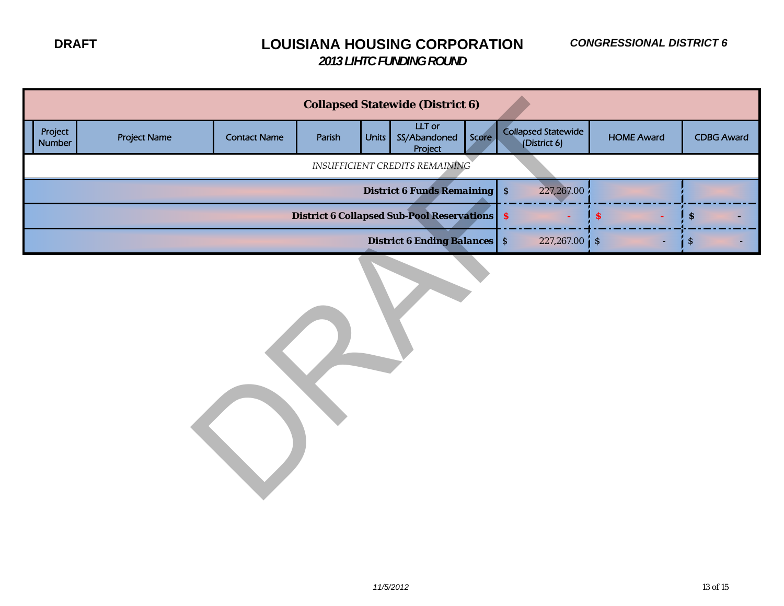|                          | <b>Collapsed Statewide (District 6)</b> |                                                        |                                     |                  |                                       |       |                                            |                   |                           |  |  |  |
|--------------------------|-----------------------------------------|--------------------------------------------------------|-------------------------------------|------------------|---------------------------------------|-------|--------------------------------------------|-------------------|---------------------------|--|--|--|
| Project<br><b>Number</b> | <b>Project Name</b>                     | <b>Contact Name</b>                                    | Parish                              | Units            | LLT or<br>SS/Abandoned<br>Project     | Score | <b>Collapsed Statewide</b><br>(District 6) | <b>HOME Award</b> | <b>CDBG Award</b>         |  |  |  |
|                          |                                         |                                                        |                                     |                  | <b>INSUFFICIENT CREDITS REMAINING</b> |       |                                            |                   |                           |  |  |  |
|                          |                                         |                                                        | <b>District 6 Funds Remaining</b> S | 227,267.00       |                                       |       |                                            |                   |                           |  |  |  |
|                          |                                         | <b>District 6 Collapsed Sub-Pool Reservations   \$</b> | <sub>S</sub>                        | $\boldsymbol{s}$ |                                       |       |                                            |                   |                           |  |  |  |
|                          |                                         |                                                        |                                     |                  | <b>District 6 Ending Balances</b> S   |       | $227,267.00 \, \text{S}$                   |                   | $\boldsymbol{\mathsf{S}}$ |  |  |  |
|                          |                                         |                                                        |                                     |                  |                                       |       |                                            |                   |                           |  |  |  |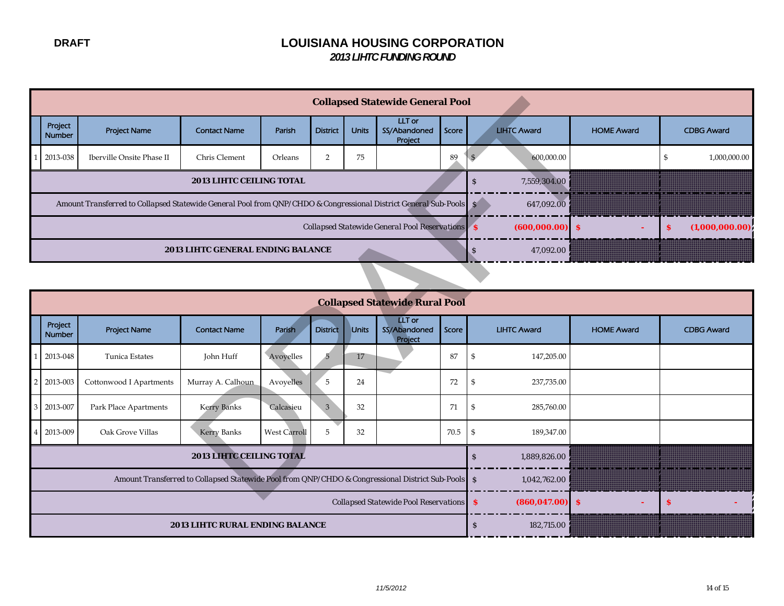|                                               |                   |                                                                                                                   |                                          | <b>Collapsed Statewide General Pool</b> |                 |              |                                   |       |  |                    |                   |   |                   |
|-----------------------------------------------|-------------------|-------------------------------------------------------------------------------------------------------------------|------------------------------------------|-----------------------------------------|-----------------|--------------|-----------------------------------|-------|--|--------------------|-------------------|---|-------------------|
|                                               | Project<br>Number | <b>Project Name</b>                                                                                               | <b>Contact Name</b>                      | Parish                                  | <b>District</b> | <b>Units</b> | LLT or<br>SS/Abandoned<br>Project | Score |  | <b>LIHTC Award</b> | <b>HOME Award</b> |   | <b>CDBG Award</b> |
|                                               | 2013-038          | Iberville Onsite Phase II                                                                                         | Chris Clement                            | Orleans                                 |                 | 75           |                                   | 89    |  | 600,000.00         |                   |   | 1,000,000.00      |
| <b>2013 LIHTC CEILING TOTAL</b>               |                   |                                                                                                                   |                                          |                                         |                 |              |                                   |       |  | 7,559,304.00       |                   |   |                   |
|                                               |                   | Amount Transferred to Collapsed Statewide General Pool from QNP/CHDO & Congressional District General Sub-Pools S |                                          |                                         |                 |              |                                   |       |  | 647.092.00         |                   |   |                   |
| Collapsed Statewide General Pool Reservations |                   |                                                                                                                   |                                          |                                         |                 |              |                                   |       |  | $(600,000.00)$ \$  |                   | s | (1,000,000.00)    |
|                                               |                   |                                                                                                                   | <b>2013 LIHTC GENERAL ENDING BALANCE</b> |                                         | 47,092.00       |              |                                   |       |  |                    |                   |   |                   |

|                                                                                                   |                          |                                                                                                                 |                                   | <b>Collapsed Statewide General Pool</b>                         |                 |                     |                                          |       |                             |                   |                               |
|---------------------------------------------------------------------------------------------------|--------------------------|-----------------------------------------------------------------------------------------------------------------|-----------------------------------|-----------------------------------------------------------------|-----------------|---------------------|------------------------------------------|-------|-----------------------------|-------------------|-------------------------------|
|                                                                                                   | Project<br><b>Number</b> | <b>Project Name</b>                                                                                             | <b>Contact Name</b>               | Parish                                                          | <b>District</b> | <b>Units</b>        | LLT or<br>SS/Abandoned<br>Project        | Score | <b>LIHTC Award</b>          | <b>HOME Award</b> | <b>CDBG Award</b>             |
|                                                                                                   | 2013-038                 | <b>Iberville Onsite Phase II</b>                                                                                | Chris Clement                     | Orleans                                                         | 2               | 75                  |                                          | 89    | 600,000.00                  |                   | $\mathfrak s$<br>1,000,000.00 |
|                                                                                                   |                          |                                                                                                                 | 2013 LIHTC CEILING TOTAL          |                                                                 |                 |                     |                                          |       | 7,559,304.00<br>S           |                   |                               |
|                                                                                                   |                          | Amount Transferred to Collapsed Statewide General Pool from QNP/CHDO & Congressional District General Sub-Pools |                                   | S<br>647,092.00                                                 |                 |                     |                                          |       |                             |                   |                               |
|                                                                                                   |                          |                                                                                                                 |                                   | Collapsed Statewide General Pool Reservations 8<br>(600,000.00) | <b>S</b>        | (1,000,000.00)<br>s |                                          |       |                             |                   |                               |
|                                                                                                   |                          |                                                                                                                 | 2013 LIHTC GENERAL ENDING BALANCE | 47,092.00<br>$\mathbf{s}$                                       |                 |                     |                                          |       |                             |                   |                               |
|                                                                                                   |                          |                                                                                                                 |                                   |                                                                 |                 |                     |                                          |       |                             |                   |                               |
|                                                                                                   |                          |                                                                                                                 |                                   |                                                                 |                 |                     |                                          |       |                             |                   |                               |
|                                                                                                   | Project<br><b>Number</b> | <b>Project Name</b>                                                                                             | <b>Contact Name</b>               | Parish                                                          | <b>District</b> | <b>Units</b>        | <b>LLT</b> or<br>SS/Abandoned<br>Project | Score | <b>LIHTC Award</b>          | <b>HOME Award</b> | <b>CDBG Award</b>             |
|                                                                                                   | 2013-048                 | Tunica Estates                                                                                                  | John Huff                         | Avoyelles                                                       | 5               | 17                  |                                          | 87    | \$<br>147,205.00            |                   |                               |
|                                                                                                   | 2013-003                 | Cottonwood I Apartments                                                                                         | Murray A. Calhoun                 | Avoyelles                                                       | 5               | 24                  |                                          | 72    | \$<br>237,735.00            |                   |                               |
|                                                                                                   | 2013-007                 | Park Place Apartments                                                                                           | <b>Kerry Banks</b>                | Calcasieu                                                       | 3               | 32                  |                                          | 71    | \$<br>285,760.00            |                   |                               |
|                                                                                                   | 2013-009                 | Oak Grove Villas                                                                                                | <b>Kerry Banks</b>                | $\mathfrak{S}$<br>189,347.00                                    |                 |                     |                                          |       |                             |                   |                               |
| 2013 LIHTC CEILING TOTAL                                                                          |                          |                                                                                                                 |                                   |                                                                 |                 |                     |                                          |       | $\mathbf S$<br>1,889,826.00 |                   |                               |
| Amount Transferred to Collapsed Statewide Pool from QNP/CHDO & Congressional District Sub-Pools S |                          |                                                                                                                 |                                   |                                                                 |                 |                     |                                          |       | 1,042,762.00                |                   |                               |
|                                                                                                   |                          |                                                                                                                 |                                   | Collapsed Statewide Pool Reservations   \$<br>(860, 047.00)     | <b>S</b>        | s                   |                                          |       |                             |                   |                               |
|                                                                                                   |                          |                                                                                                                 | 2013 LIHTC RURAL ENDING BALANCE   | $\mathbf S$<br>182,715.00                                       |                 |                     |                                          |       |                             |                   |                               |